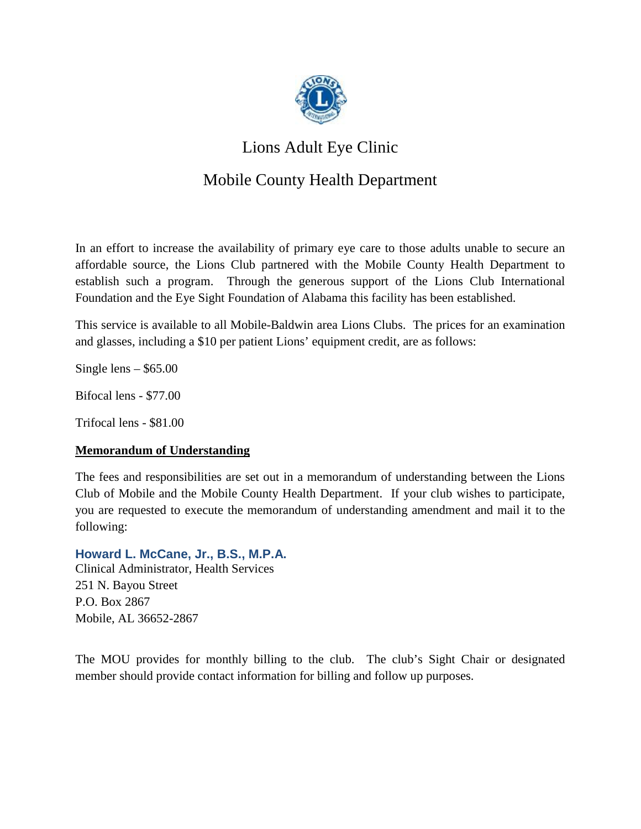

# Lions Adult Eye Clinic

# Mobile County Health Department

In an effort to increase the availability of primary eye care to those adults unable to secure an affordable source, the Lions Club partnered with the Mobile County Health Department to establish such a program. Through the generous support of the Lions Club International Foundation and the Eye Sight Foundation of Alabama this facility has been established.

This service is available to all Mobile-Baldwin area Lions Clubs. The prices for an examination and glasses, including a \$10 per patient Lions' equipment credit, are as follows:

Single lens  $-$  \$65.00

Bifocal lens - \$77.00

Trifocal lens - \$81.00

### **Memorandum of Understanding**

The fees and responsibilities are set out in a memorandum of understanding between the Lions Club of Mobile and the Mobile County Health Department. If your club wishes to participate, you are requested to execute the memorandum of understanding amendment and mail it to the following:

#### **Howard L. McCane, Jr., B.S., M.P.A.**

Clinical Administrator, Health Services 251 N. Bayou Street P.O. Box 2867 Mobile, AL 36652-2867

The MOU provides for monthly billing to the club. The club's Sight Chair or designated member should provide contact information for billing and follow up purposes.